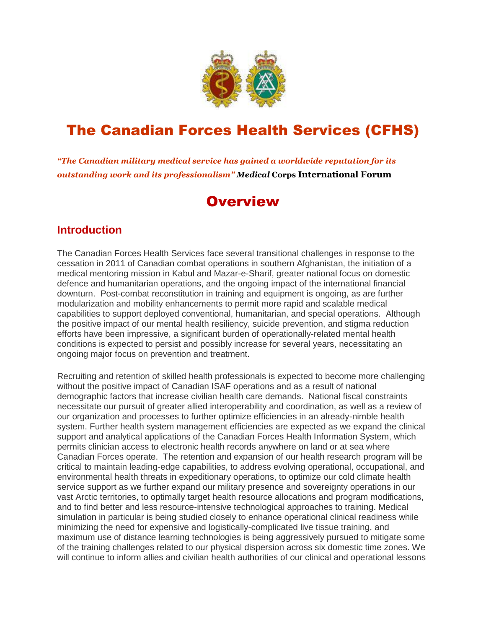

# The Canadian Forces Health Services (CFHS)

*"The Canadian military medical service has gained a worldwide reputation for its outstanding work and its professionalism" Medical* **Corps International Forum**

## **Overview**

### **Introduction**

The Canadian Forces Health Services face several transitional challenges in response to the cessation in 2011 of Canadian combat operations in southern Afghanistan, the initiation of a medical mentoring mission in Kabul and Mazar-e-Sharif, greater national focus on domestic defence and humanitarian operations, and the ongoing impact of the international financial downturn. Post-combat reconstitution in training and equipment is ongoing, as are further modularization and mobility enhancements to permit more rapid and scalable medical capabilities to support deployed conventional, humanitarian, and special operations. Although the positive impact of our mental health resiliency, suicide prevention, and stigma reduction efforts have been impressive, a significant burden of operationally-related mental health conditions is expected to persist and possibly increase for several years, necessitating an ongoing major focus on prevention and treatment.

Recruiting and retention of skilled health professionals is expected to become more challenging without the positive impact of Canadian ISAF operations and as a result of national demographic factors that increase civilian health care demands. National fiscal constraints necessitate our pursuit of greater allied interoperability and coordination, as well as a review of our organization and processes to further optimize efficiencies in an already-nimble health system. Further health system management efficiencies are expected as we expand the clinical support and analytical applications of the Canadian Forces Health Information System, which permits clinician access to electronic health records anywhere on land or at sea where Canadian Forces operate. The retention and expansion of our health research program will be critical to maintain leading-edge capabilities, to address evolving operational, occupational, and environmental health threats in expeditionary operations, to optimize our cold climate health service support as we further expand our military presence and sovereignty operations in our vast Arctic territories, to optimally target health resource allocations and program modifications, and to find better and less resource-intensive technological approaches to training. Medical simulation in particular is being studied closely to enhance operational clinical readiness while minimizing the need for expensive and logistically-complicated live tissue training, and maximum use of distance learning technologies is being aggressively pursued to mitigate some of the training challenges related to our physical dispersion across six domestic time zones. We will continue to inform allies and civilian health authorities of our clinical and operational lessons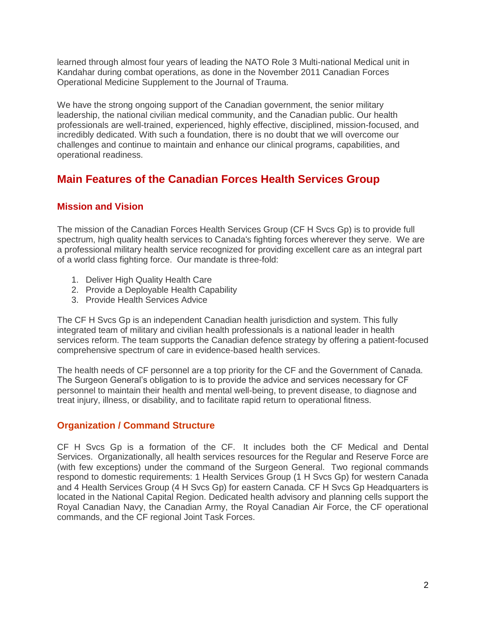learned through almost four years of leading the NATO Role 3 Multi-national Medical unit in Kandahar during combat operations, as done in the November 2011 Canadian Forces Operational Medicine Supplement to the Journal of Trauma.

We have the strong ongoing support of the Canadian government, the senior military leadership, the national civilian medical community, and the Canadian public. Our health professionals are well-trained, experienced, highly effective, disciplined, mission-focused, and incredibly dedicated. With such a foundation, there is no doubt that we will overcome our challenges and continue to maintain and enhance our clinical programs, capabilities, and operational readiness.

## **Main Features of the Canadian Forces Health Services Group**

### **Mission and Vision**

The mission of the Canadian Forces Health Services Group (CF H Svcs Gp) is to provide full spectrum, high quality health services to Canada's fighting forces wherever they serve. We are a professional military health service recognized for providing excellent care as an integral part of a world class fighting force. Our mandate is three-fold:

- 1. Deliver High Quality Health Care
- 2. Provide a Deployable Health Capability
- 3. Provide Health Services Advice

The CF H Svcs Gp is an independent Canadian health jurisdiction and system. This fully integrated team of military and civilian health professionals is a national leader in health services reform. The team supports the Canadian defence strategy by offering a patient-focused comprehensive spectrum of care in evidence-based health services.

The health needs of CF personnel are a top priority for the CF and the Government of Canada. The Surgeon General's obligation to is to provide the advice and services necessary for CF personnel to maintain their health and mental well-being, to prevent disease, to diagnose and treat injury, illness, or disability, and to facilitate rapid return to operational fitness.

### **Organization / Command Structure**

CF H Svcs Gp is a formation of the CF. It includes both the CF Medical and Dental Services. Organizationally, all health services resources for the Regular and Reserve Force are (with few exceptions) under the command of the Surgeon General. Two regional commands respond to domestic requirements: 1 Health Services Group (1 H Svcs Gp) for western Canada and 4 Health Services Group (4 H Svcs Gp) for eastern Canada. CF H Svcs Gp Headquarters is located in the National Capital Region. Dedicated health advisory and planning cells support the Royal Canadian Navy, the Canadian Army, the Royal Canadian Air Force, the CF operational commands, and the CF regional Joint Task Forces.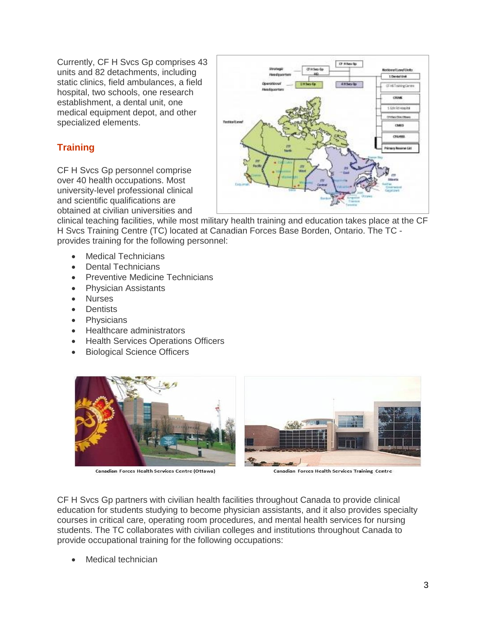Currently, CF H Svcs Gp comprises 43 units and 82 detachments, including static clinics, field ambulances, a field hospital, two schools, one research establishment, a dental unit, one medical equipment depot, and other specialized elements.

## **Training**

CF H Svcs Gp personnel comprise over 40 health occupations. Most university-level professional clinical and scientific qualifications are obtained at civilian universities and



clinical teaching facilities, while most military health training and education takes place at the CF H Svcs Training Centre (TC) located at Canadian Forces Base Borden, Ontario. The TC provides training for the following personnel:

- Medical Technicians
- Dental Technicians
- Preventive Medicine Technicians
- Physician Assistants
- Nurses
- **•** Dentists
- Physicians
- Healthcare administrators
- Health Services Operations Officers
- Biological Science Officers



Canadian Forces Health Services Centre (Ottawa)



Canadian Forces Health Services Training Centre

CF H Svcs Gp partners with civilian health facilities throughout Canada to provide clinical education for students studying to become physician assistants, and it also provides specialty courses in critical care, operating room procedures, and mental health services for nursing students. The TC collaborates with civilian colleges and institutions throughout Canada to provide occupational training for the following occupations:

Medical technician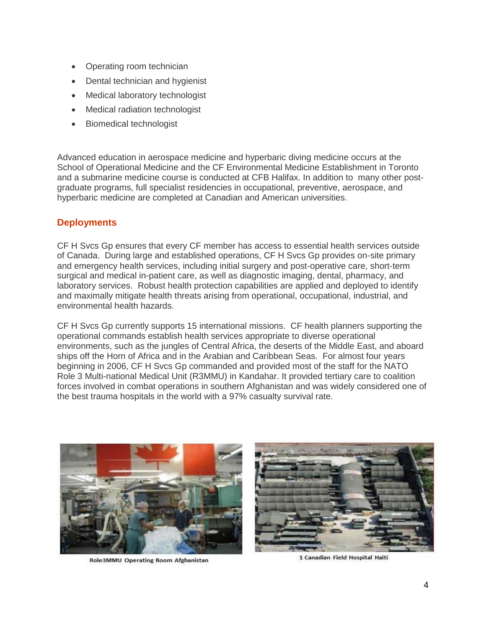- Operating room technician
- Dental technician and hygienist
- Medical laboratory technologist
- Medical radiation technologist
- Biomedical technologist

Advanced education in aerospace medicine and hyperbaric diving medicine occurs at the School of Operational Medicine and the CF Environmental Medicine Establishment in Toronto and a submarine medicine course is conducted at CFB Halifax. In addition to many other postgraduate programs, full specialist residencies in occupational, preventive, aerospace, and hyperbaric medicine are completed at Canadian and American universities.

### **Deployments**

CF H Svcs Gp ensures that every CF member has access to essential health services outside of Canada. During large and established operations, CF H Svcs Gp provides on-site primary and emergency health services, including initial surgery and post-operative care, short-term surgical and medical in-patient care, as well as diagnostic imaging, dental, pharmacy, and laboratory services. Robust health protection capabilities are applied and deployed to identify and maximally mitigate health threats arising from operational, occupational, industrial, and environmental health hazards.

CF H Svcs Gp currently supports 15 international missions. CF health planners supporting the operational commands establish health services appropriate to diverse operational environments, such as the jungles of Central Africa, the deserts of the Middle East, and aboard ships off the Horn of Africa and in the Arabian and Caribbean Seas. For almost four years beginning in 2006, CF H Svcs Gp commanded and provided most of the staff for the NATO Role 3 Multi-national Medical Unit (R3MMU) in Kandahar. It provided tertiary care to coalition forces involved in combat operations in southern Afghanistan and was widely considered one of the best trauma hospitals in the world with a 97% casualty survival rate.



Role3MMU Operating Room Afghanistan



1 Canadian Field Hospital Haiti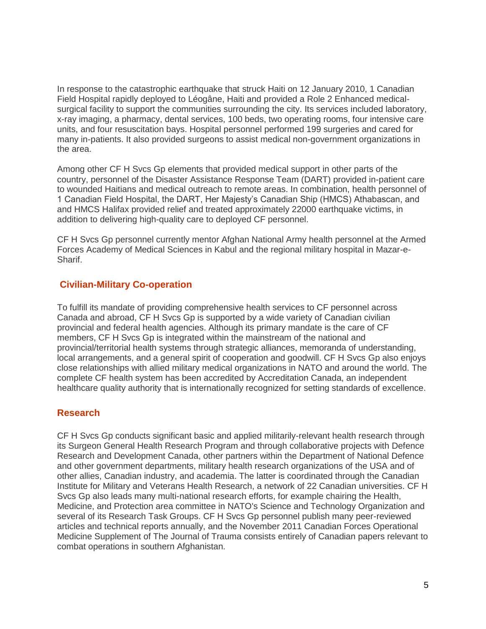In response to the catastrophic earthquake that struck Haiti on 12 January 2010, 1 Canadian Field Hospital rapidly deployed to Léogâne, Haiti and provided a Role 2 Enhanced medicalsurgical facility to support the communities surrounding the city. Its services included laboratory, x-ray imaging, a pharmacy, dental services, 100 beds, two operating rooms, four intensive care units, and four resuscitation bays. Hospital personnel performed 199 surgeries and cared for many in-patients. It also provided surgeons to assist medical non-government organizations in the area.

Among other CF H Svcs Gp elements that provided medical support in other parts of the country, personnel of the Disaster Assistance Response Team (DART) provided in-patient care to wounded Haitians and medical outreach to remote areas. In combination, health personnel of 1 Canadian Field Hospital, the DART, Her Majesty's Canadian Ship (HMCS) Athabascan, and and HMCS Halifax provided relief and treated approximately 22000 earthquake victims, in addition to delivering high-quality care to deployed CF personnel.

CF H Svcs Gp personnel currently mentor Afghan National Army health personnel at the Armed Forces Academy of Medical Sciences in Kabul and the regional military hospital in Mazar-e-Sharif.

### **Civilian-Military Co-operation**

To fulfill its mandate of providing comprehensive health services to CF personnel across Canada and abroad, CF H Svcs Gp is supported by a wide variety of Canadian civilian provincial and federal health agencies. Although its primary mandate is the care of CF members, CF H Svcs Gp is integrated within the mainstream of the national and provincial/territorial health systems through strategic alliances, memoranda of understanding, local arrangements, and a general spirit of cooperation and goodwill. CF H Svcs Gp also enjoys close relationships with allied military medical organizations in NATO and around the world. The complete CF health system has been accredited by Accreditation Canada, an independent healthcare quality authority that is internationally recognized for setting standards of excellence.

#### **Research**

CF H Svcs Gp conducts significant basic and applied militarily-relevant health research through its Surgeon General Health Research Program and through collaborative projects with Defence Research and Development Canada, other partners within the Department of National Defence and other government departments, military health research organizations of the USA and of other allies, Canadian industry, and academia. The latter is coordinated through the Canadian Institute for Military and Veterans Health Research, a network of 22 Canadian universities. CF H Svcs Gp also leads many multi-national research efforts, for example chairing the Health, Medicine, and Protection area committee in NATO's Science and Technology Organization and several of its Research Task Groups. CF H Svcs Gp personnel publish many peer-reviewed articles and technical reports annually, and the November 2011 Canadian Forces Operational Medicine Supplement of The Journal of Trauma consists entirely of Canadian papers relevant to combat operations in southern Afghanistan.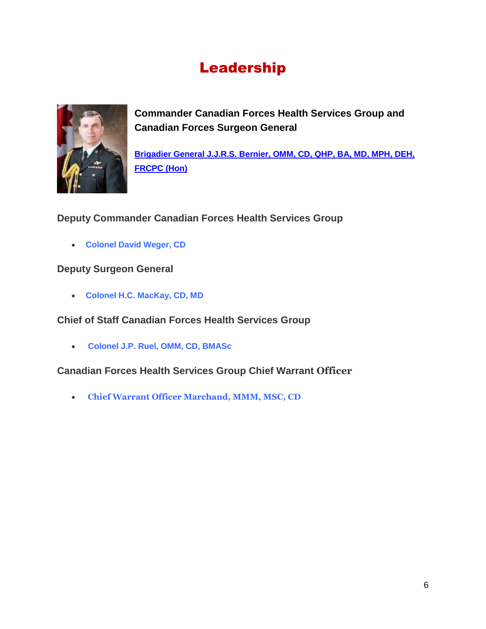# Leadership



**Commander Canadian Forces Health Services Group and Canadian Forces Surgeon General**

**[Brigadier General J.J.R.S. Bernier, OMM, CD, QHP, BA, MD, MPH, DEH,](http://www.cfhsht.org/wp-content/uploads/2013/12/BGen-Bernier-Bio.pdf)  [FRCPC \(Hon\)](http://www.cfhsht.org/wp-content/uploads/2013/12/BGen-Bernier-Bio.pdf)**

### **Deputy Commander Canadian Forces Health Services Group**

**Colonel David Weger, CD**

### **Deputy Surgeon General**

**Colonel H.C. MacKay, CD, MD**

**Chief of Staff Canadian Forces Health Services Group**

**Colonel J.P. Ruel, OMM, CD, BMASc**

**Canadian Forces Health Services Group Chief Warrant Officer**

**Chief Warrant Officer Marchand, MMM, MSC, CD**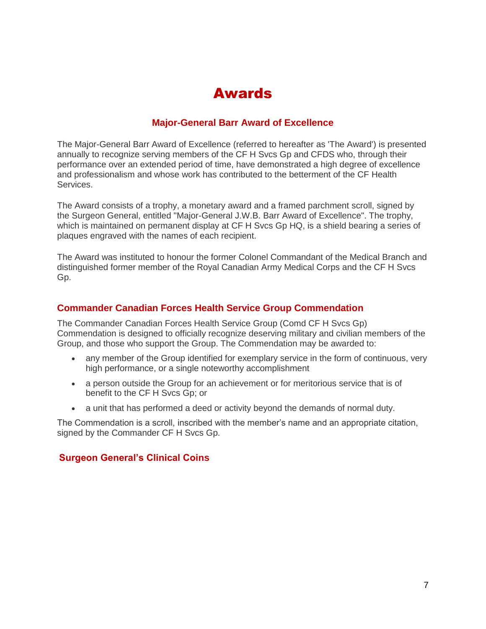## Awards

### **Major-General Barr Award of Excellence**

The Major-General Barr Award of Excellence (referred to hereafter as 'The Award') is presented annually to recognize serving members of the CF H Svcs Gp and CFDS who, through their performance over an extended period of time, have demonstrated a high degree of excellence and professionalism and whose work has contributed to the betterment of the CF Health Services.

The Award consists of a trophy, a monetary award and a framed parchment scroll, signed by the Surgeon General, entitled "Major-General J.W.B. Barr Award of Excellence". The trophy, which is maintained on permanent display at CF H Svcs Gp HQ, is a shield bearing a series of plaques engraved with the names of each recipient.

The Award was instituted to honour the former Colonel Commandant of the Medical Branch and distinguished former member of the Royal Canadian Army Medical Corps and the CF H Svcs Gp.

### **Commander Canadian Forces Health Service Group Commendation**

The Commander Canadian Forces Health Service Group (Comd CF H Svcs Gp) Commendation is designed to officially recognize deserving military and civilian members of the Group, and those who support the Group. The Commendation may be awarded to:

- any member of the Group identified for exemplary service in the form of continuous, very high performance, or a single noteworthy accomplishment
- a person outside the Group for an achievement or for meritorious service that is of benefit to the CF H Svcs Gp; or
- a unit that has performed a deed or activity beyond the demands of normal duty.

The Commendation is a scroll, inscribed with the member's name and an appropriate citation, signed by the Commander CF H Svcs Gp.

### **Surgeon General's Clinical Coins**